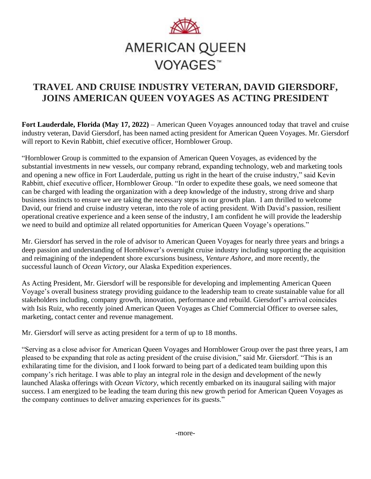

# **TRAVEL AND CRUISE INDUSTRY VETERAN, DAVID GIERSDORF, JOINS AMERICAN QUEEN VOYAGES AS ACTING PRESIDENT**

**Fort Lauderdale, Florida (May 17, 2022)** – American Queen Voyages announced today that travel and cruise industry veteran, David Giersdorf, has been named acting president for American Queen Voyages. Mr. Giersdorf will report to Kevin Rabbitt, chief executive officer, Hornblower Group.

"Hornblower Group is committed to the expansion of American Queen Voyages, as evidenced by the substantial investments in new vessels, our company rebrand, expanding technology, web and marketing tools and opening a new office in Fort Lauderdale, putting us right in the heart of the cruise industry," said Kevin Rabbitt, chief executive officer, Hornblower Group. "In order to expedite these goals, we need someone that can be charged with leading the organization with a deep knowledge of the industry, strong drive and sharp business instincts to ensure we are taking the necessary steps in our growth plan. I am thrilled to welcome David, our friend and cruise industry veteran, into the role of acting president. With David's passion, resilient operational creative experience and a keen sense of the industry, I am confident he will provide the leadership we need to build and optimize all related opportunities for American Queen Voyage's operations."

Mr. Giersdorf has served in the role of advisor to American Queen Voyages for nearly three years and brings a deep passion and understanding of Hornblower's overnight cruise industry including supporting the acquisition and reimagining of the independent shore excursions business, *Venture Ashore*, and more recently, the successful launch of *Ocean Victory*, our Alaska Expedition experiences.

As Acting President, Mr. Giersdorf will be responsible for developing and implementing American Queen Voyage's overall business strategy providing guidance to the leadership team to create sustainable value for all stakeholders including, company growth, innovation, performance and rebuild. Giersdorf's arrival coincides with Isis Ruiz, who recently joined American Queen Voyages as Chief Commercial Officer to oversee sales, marketing, contact center and revenue management.

Mr. Giersdorf will serve as acting president for a term of up to 18 months.

"Serving as a close advisor for American Queen Voyages and Hornblower Group over the past three years, I am pleased to be expanding that role as acting president of the cruise division," said Mr. Giersdorf. "This is an exhilarating time for the division, and I look forward to being part of a dedicated team building upon this company's rich heritage. I was able to play an integral role in the design and development of the newly launched Alaska offerings with *Ocean Victory*, which recently embarked on its inaugural sailing with major success. I am energized to be leading the team during this new growth period for American Queen Voyages as the company continues to deliver amazing experiences for its guests."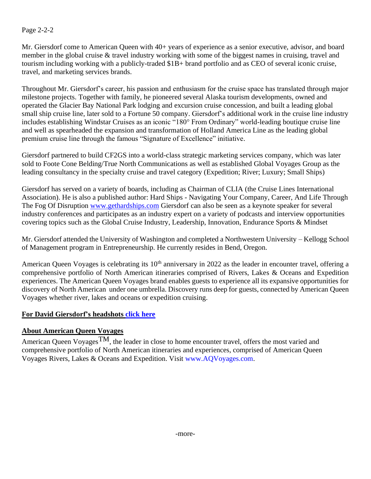## Page 2-2-2

Mr. Giersdorf come to American Queen with 40+ years of experience as a senior executive, advisor, and board member in the global cruise & travel industry working with some of the biggest names in cruising, travel and tourism including working with a publicly-traded \$1B+ brand portfolio and as CEO of several iconic cruise, travel, and marketing services brands.

Throughout Mr. Giersdorf's career, his passion and enthusiasm for the cruise space has translated through major milestone projects. Together with family, he pioneered several Alaska tourism developments, owned and operated the Glacier Bay National Park lodging and excursion cruise concession, and built a leading global small ship cruise line, later sold to a Fortune 50 company. Giersdorf's additional work in the cruise line industry includes establishing Windstar Cruises as an iconic "180° From Ordinary" world-leading boutique cruise line and well as spearheaded the expansion and transformation of Holland America Line as the leading global premium cruise line through the famous "Signature of Excellence" initiative.

Giersdorf partnered to build CF2GS into a world-class strategic marketing services company, which was later sold to Foote Cone Belding/True North Communications as well as established Global Voyages Group as the leading consultancy in the specialty cruise and travel category (Expedition; River; Luxury; Small Ships)

Giersdorf has served on a variety of boards, including as Chairman of CLIA (the Cruise Lines International Association). He is also a published author: Hard Ships - Navigating Your Company, Career, And Life Through The Fog Of Disruption [www.gethardships.com](http://www.gethardships.com/) Giersdorf can also be seen as a keynote speaker for several industry conferences and participates as an industry expert on a variety of podcasts and interview opportunities covering topics such as the Global Cruise Industry, Leadership, Innovation, Endurance Sports & Mindset

Mr. Giersdorf attended the University of Washington and completed a Northwestern University – Kellogg School of Management program in Entrepreneurship. He currently resides in Bend, Oregon.

American Queen Voyages is celebrating its 10<sup>th</sup> anniversary in 2022 as the leader in encounter travel, offering a comprehensive portfolio of North American itineraries comprised of Rivers, Lakes & Oceans and Expedition experiences. The American Queen Voyages brand enables guests to experience all its expansive opportunities for discovery of North American under one umbrella. Discovery runs deep for guests, connected by American Queen Voyages whether river, lakes and oceans or expedition cruising.

### **For David Giersdorf's headshots [click here](https://entertainmentcruises-my.sharepoint.com/:f:/g/personal/michael_deicas_cityexperiences_com/EqIEwKmujfZEkZjdcBh4GR8BY9Dc2LJES_ThH0LLub6d9w?e=XjY4PF)**

## **About American Queen Voyages**

American Queen Voyages<sup>TM</sup>, the leader in close to home encounter travel, offers the most varied and comprehensive portfolio of North American itineraries and experiences, comprised of American Queen Voyages Rivers, Lakes & Oceans and Expedition. Visit www.AQVoyages.com.